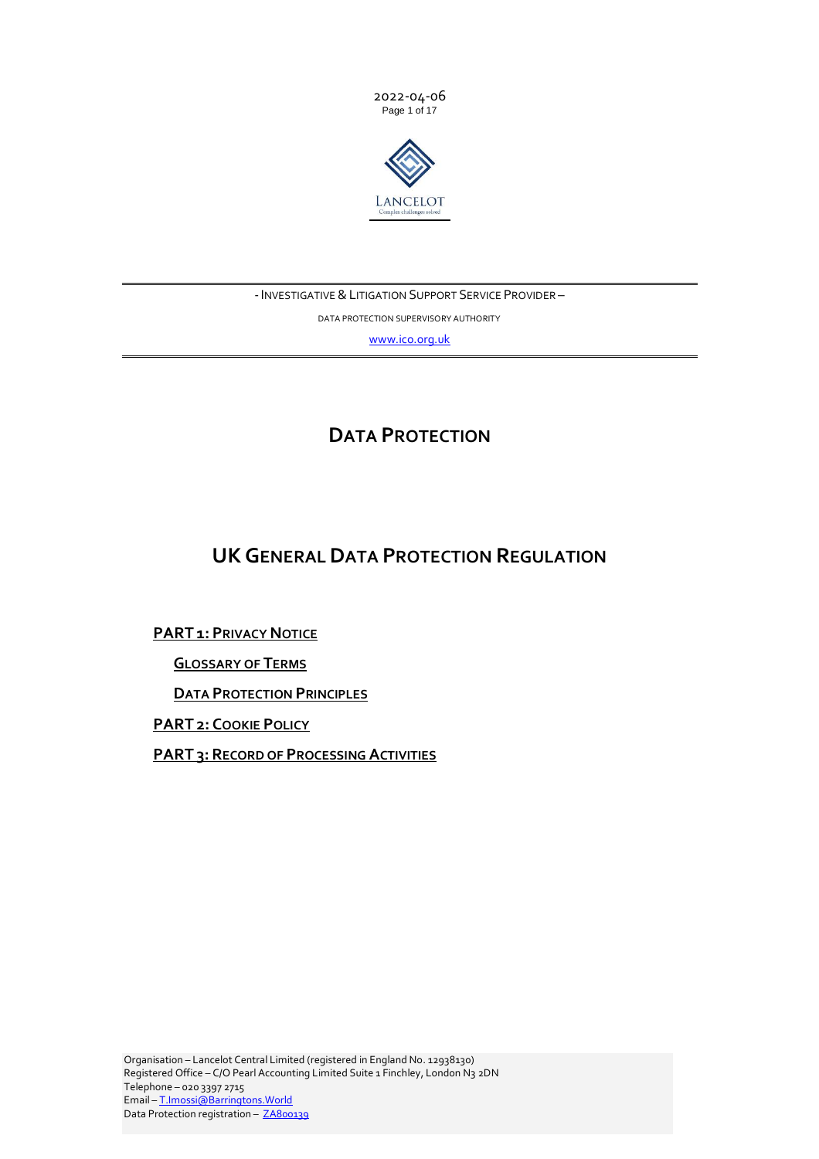



# - INVESTIGATIVE & LITIGATION SUPPORT SERVICE PROVIDER -

DATA PROTECTION SUPERVISORY AUTHORITY

[www.ico.org.uk](http://www.ico.org.uk/)

# **DATA PROTECTION**

# **UKGENERAL DATA PROTECTION REGULATION**

**[PART](#page-1-0) 1: PRIVACY NOTICE**

**G[LOSSARY OF](#page-6-0) TERMS** 

**DATA P[ROTECTION](#page-10-0) PRINCIPLES**

**[PART](#page-10-1) 2: COOKIE POLICY**

<span id="page-0-0"></span>**PART 3: RECORD OF P[ROCESSING](#page-13-0) ACTIVITIES**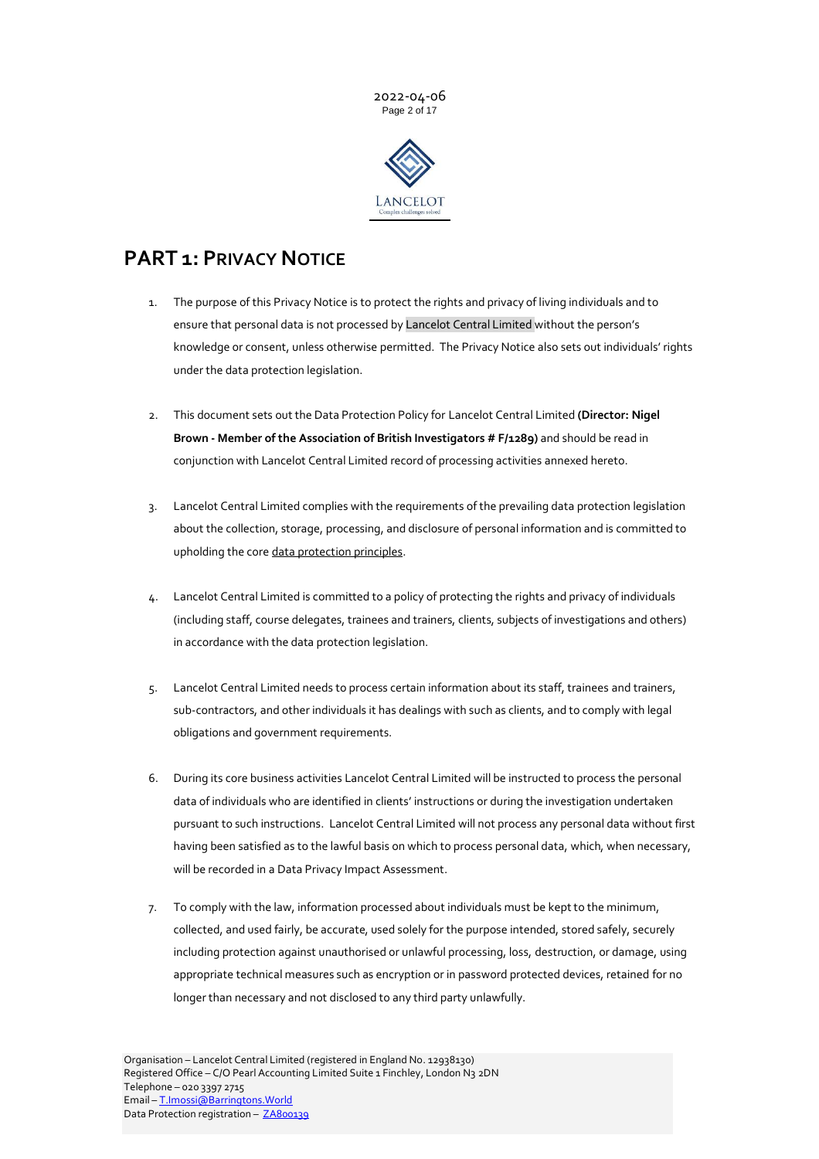

# <span id="page-1-0"></span>**PART 1: PRIVACY NOTICE**

- 1. The purpose of this Privacy Notice is to protect the rights and privacy of living individuals and to ensure that personal data is not processed by Lancelot Central Limited without the person's knowledge or consent, unless otherwise permitted. The Privacy Notice also sets out individuals' rights under the data protection legislation.
- 2. This document sets out the Data Protection Policy for Lancelot Central Limited **(Director: Nigel Brown - Member of the Association of British Investigators # F/1289)** and should be read in conjunction with Lancelot Central Limited record of processing activities annexed hereto.
- 3. Lancelot Central Limited complies with the requirements of the prevailing data protection legislation about the collection, storage, processing, and disclosure of personal information and is committed to upholding the cor[e data protection principles.](#page-10-0)
- 4. Lancelot Central Limited is committed to a policy of protecting the rights and privacy of individuals (including staff, course delegates, trainees and trainers, clients, subjects of investigations and others) in accordance with the data protection legislation.
- 5. Lancelot Central Limited needs to process certain information about its staff, trainees and trainers, sub-contractors, and other individuals it has dealings with such as clients, and to comply with legal obligations and government requirements.
- 6. During its core business activities Lancelot Central Limited will be instructed to process the personal data of individuals who are identified in clients' instructions or during the investigation undertaken pursuant to such instructions. Lancelot Central Limited will not process any personal data without first having been satisfied as to the lawful basis on which to process personal data, which, when necessary, will be recorded in a Data Privacy Impact Assessment.
- 7. To comply with the law, information processed about individuals must be kept to the minimum, collected, and used fairly, be accurate, used solely for the purpose intended, stored safely, securely including protection against unauthorised or unlawful processing, loss, destruction, or damage, using appropriate technical measures such as encryption or in password protected devices, retained for no longer than necessary and not disclosed to any third party unlawfully.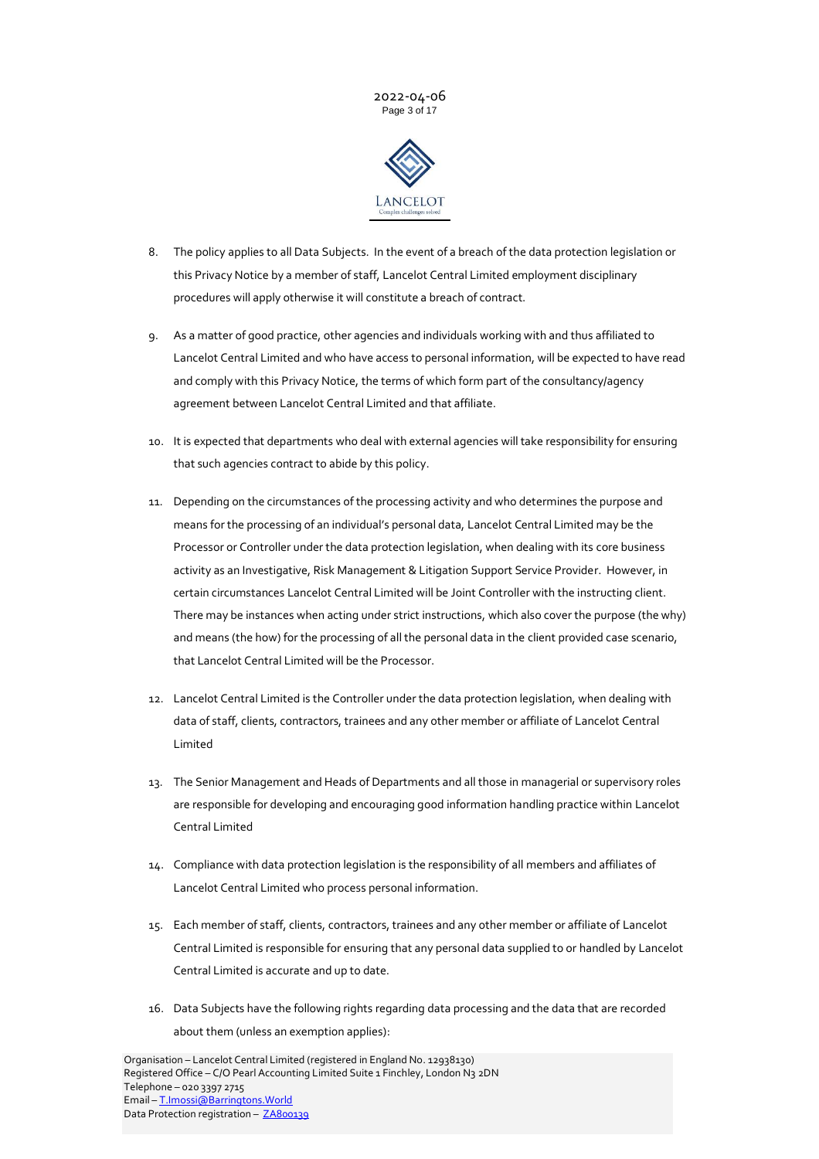



- 8. The policy applies to all Data Subjects. In the event of a breach of the data protection legislation or this Privacy Notice by a member of staff, Lancelot Central Limited employment disciplinary procedures will apply otherwise it will constitute a breach of contract.
- 9. As a matter of good practice, other agencies and individuals working with and thus affiliated to Lancelot Central Limited and who have access to personal information, will be expected to have read and comply with this Privacy Notice, the terms of which form part of the consultancy/agency agreement between Lancelot Central Limited and that affiliate.
- 10. It is expected that departments who deal with external agencies will take responsibility for ensuring that such agencies contract to abide by this policy.
- 11. Depending on the circumstances of the processing activity and who determines the purpose and means for the processing of an individual's personal data, Lancelot Central Limited may be the Processor or Controller under the data protection legislation, when dealing with its core business activity as an Investigative, Risk Management & Litigation Support Service Provider. However, in certain circumstances Lancelot Central Limited will be Joint Controller with the instructing client. There may be instances when acting under strict instructions, which also cover the purpose (the why) and means (the how) for the processing of all the personal data in the client provided case scenario, that Lancelot Central Limited will be the Processor.
- 12. Lancelot Central Limited is the Controller under the data protection legislation, when dealing with data of staff, clients, contractors, trainees and any other member or affiliate of Lancelot Central Limited
- 13. The Senior Management and Heads of Departments and all those in managerial or supervisory roles are responsible for developing and encouraging good information handling practice within Lancelot Central Limited
- 14. Compliance with data protection legislation is the responsibility of all members and affiliates of Lancelot Central Limited who process personal information.
- 15. Each member of staff, clients, contractors, trainees and any other member or affiliate of Lancelot Central Limited is responsible for ensuring that any personal data supplied to or handled by Lancelot Central Limited is accurate and up to date.
- 16. Data Subjects have the following rights regarding data processing and the data that are recorded about them (unless an exemption applies):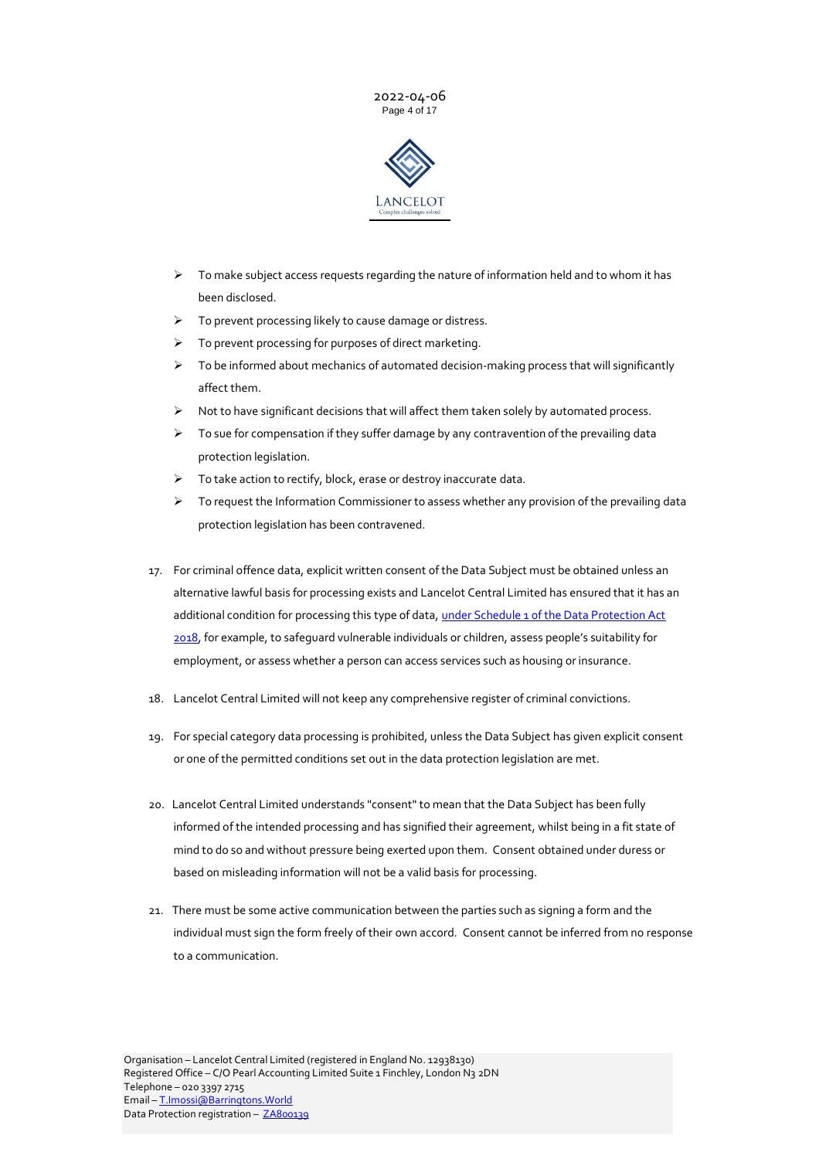



- $\triangleright$  To make subject access requests regarding the nature of information held and to whom it has been disclosed.
- ➢ To prevent processing likely to cause damage or distress.
- ➢ To prevent processing for purposes of direct marketing.
- $\triangleright$  To be informed about mechanics of automated decision-making process that will significantly affect them.
- ➢ Not to have significant decisions that will affect them taken solely by automated process.
- $\triangleright$  To sue for compensation if they suffer damage by any contravention of the prevailing data protection legislation.
- ➢ To take action to rectify, block, erase or destroy inaccurate data.
- ➢ To request the Information Commissioner to assess whether any provision of the prevailing data protection legislation has been contravened.
- 17. For criminal offence data, explicit written consent of the Data Subject must be obtained unless an alternative lawful basis for processing exists and Lancelot Central Limited has ensured that it has an additional condition for processing this type of data, *under Schedule 1 of the Data Protection Act* [2018,](https://www.legislation.gov.uk/ukpga/2018/12/schedule/1/enacted?view=interweave) for example, to safeguard vulnerable individuals or children, assess people's suitability for employment, or assess whether a person can access services such as housing or insurance.
- 18. Lancelot Central Limited will not keep any comprehensive register of criminal convictions.
- 19. For special category data processing is prohibited, unless the Data Subject has given explicit consent or one of the permitted conditions set out in the data protection legislation are met.
- 20. Lancelot Central Limited understands "consent" to mean that the Data Subject has been fully informed of the intended processing and has signified their agreement, whilst being in a fit state of mind to do so and without pressure being exerted upon them. Consent obtained under duress or based on misleading information will not be a valid basis for processing.
- 21. There must be some active communication between the parties such as signing a form and the individual must sign the form freely of their own accord. Consent cannot be inferred from no response to a communication.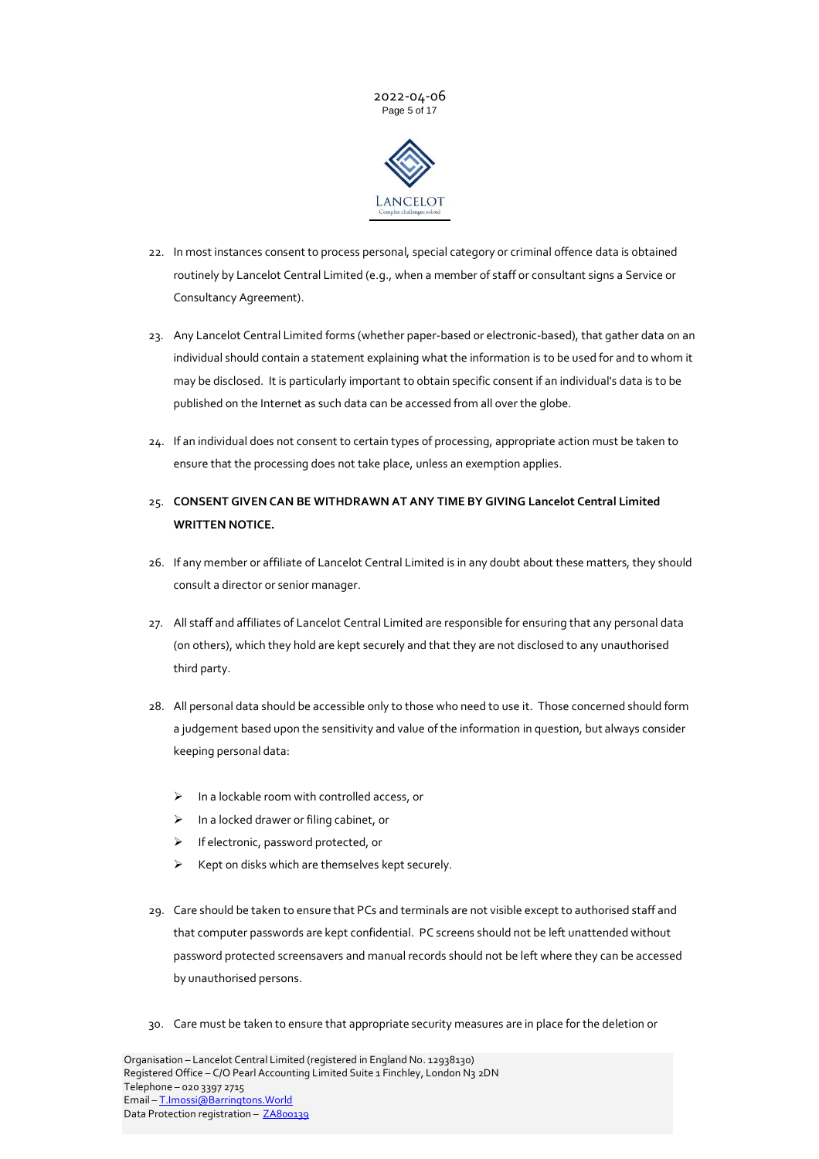



- 22. In most instances consent to process personal, special category or criminal offence data is obtained routinely by Lancelot Central Limited (e.g., when a member of staff or consultant signs a Service or Consultancy Agreement).
- 23. Any Lancelot Central Limited forms (whether paper-based or electronic-based), that gather data on an individual should contain a statement explaining what the information is to be used for and to whom it may be disclosed. It is particularly important to obtain specific consent if an individual's data is to be published on the Internet as such data can be accessed from all over the globe.
- 24. If an individual does not consent to certain types of processing, appropriate action must be taken to ensure that the processing does not take place, unless an exemption applies.
- 25. **CONSENT GIVEN CAN BE WITHDRAWN AT ANY TIME BY GIVING Lancelot Central Limited WRITTEN NOTICE.**
- 26. If any member or affiliate of Lancelot Central Limited is in any doubt about these matters, they should consult a director or senior manager.
- 27. All staff and affiliates of Lancelot Central Limited are responsible for ensuring that any personal data (on others), which they hold are kept securely and that they are not disclosed to any unauthorised third party.
- 28. All personal data should be accessible only to those who need to use it. Those concerned should form a judgement based upon the sensitivity and value of the information in question, but always consider keeping personal data:
	- ➢ In a lockable room with controlled access, or
	- ➢ In a locked drawer or filing cabinet, or
	- ➢ If electronic, password protected, or
	- ➢ Kept on disks which are themselves kept securely.
- 29. Care should be taken to ensure that PCs and terminals are not visible except to authorised staff and that computer passwords are kept confidential. PC screens should not be left unattended without password protected screensavers and manual records should not be left where they can be accessed by unauthorised persons.
- 30. Care must be taken to ensure that appropriate security measures are in place for the deletion or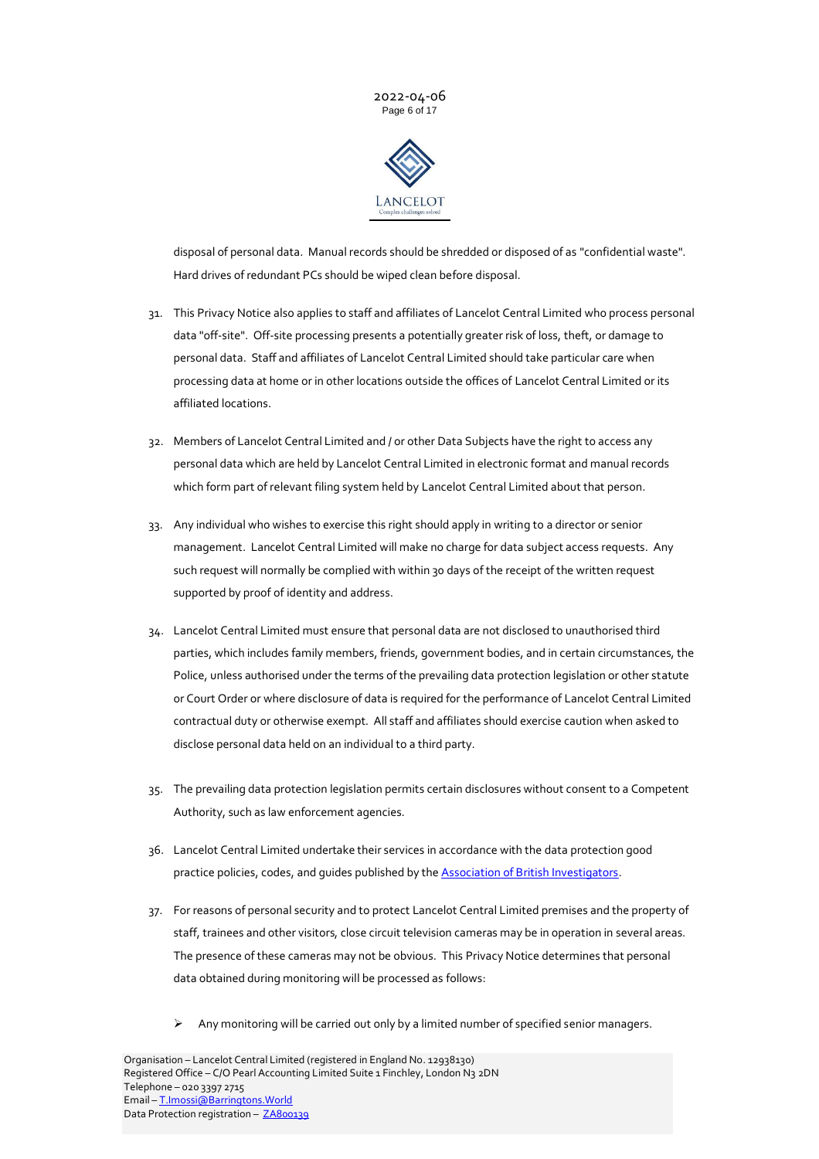



disposal of personal data. Manual records should be shredded or disposed of as "confidential waste". Hard drives of redundant PCs should be wiped clean before disposal.

- 31. This Privacy Notice also applies to staff and affiliates of Lancelot Central Limited who process personal data "off-site". Off-site processing presents a potentially greater risk of loss, theft, or damage to personal data. Staff and affiliates of Lancelot Central Limited should take particular care when processing data at home or in other locations outside the offices of Lancelot Central Limited or its affiliated locations.
- 32. Members of Lancelot Central Limited and / or other Data Subjects have the right to access any personal data which are held by Lancelot Central Limited in electronic format and manual records which form part of relevant filing system held by Lancelot Central Limited about that person.
- 33. Any individual who wishes to exercise this right should apply in writing to a director or senior management. Lancelot Central Limited will make no charge for data subject access requests. Any such request will normally be complied with within 30 days of the receipt of the written request supported by proof of identity and address.
- 34. Lancelot Central Limited must ensure that personal data are not disclosed to unauthorised third parties, which includes family members, friends, government bodies, and in certain circumstances, the Police, unless authorised under the terms of the prevailing data protection legislation or other statute or Court Order or where disclosure of data is required for the performance of Lancelot Central Limited contractual duty or otherwise exempt. All staff and affiliates should exercise caution when asked to disclose personal data held on an individual to a third party.
- 35. The prevailing data protection legislation permits certain disclosures without consent to a Competent Authority, such as law enforcement agencies.
- 36. Lancelot Central Limited undertake their services in accordance with the data protection good practice policies, codes, and guides published by th[e Association of British Investigators.](https://www.theabi.org.uk/about/compliance-and-guidance)
- 37. For reasons of personal security and to protect Lancelot Central Limited premises and the property of staff, trainees and other visitors, close circuit television cameras may be in operation in several areas. The presence of these cameras may not be obvious. This Privacy Notice determines that personal data obtained during monitoring will be processed as follows:
	- Any monitoring will be carried out only by a limited number of specified senior managers.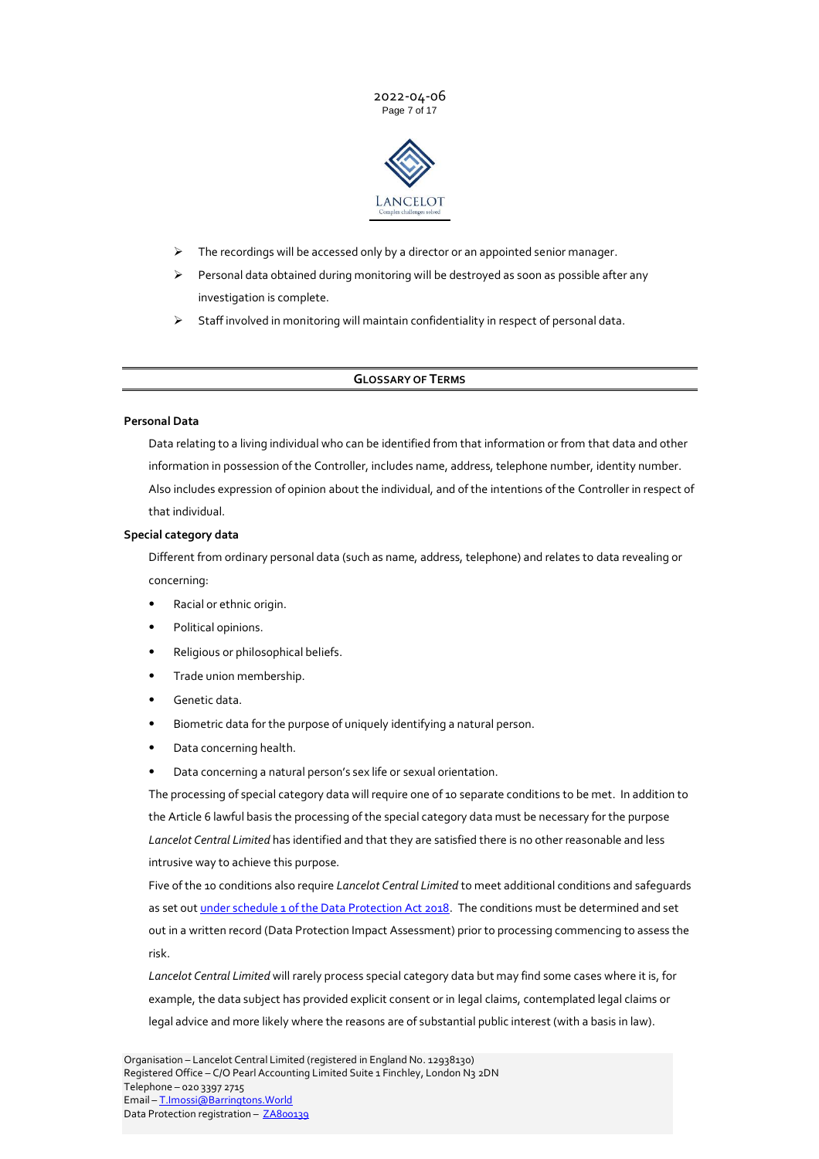



- $\triangleright$  The recordings will be accessed only by a director or an appointed senior manager.
- $\triangleright$  Personal data obtained during monitoring will be destroyed as soon as possible after any investigation is complete.
- ➢ Staff involved in monitoring will maintain confidentiality in respect of personal data.

### **GLOSSARY OF TERMS**

### <span id="page-6-0"></span>**Personal Data**

Data relating to a living individual who can be identified from that information or from that data and other information in possession of the Controller, includes name, address, telephone number, identity number. Also includes expression of opinion about the individual, and of the intentions of the Controller in respect of that individual.

### **Special category data**

Different from ordinary personal data (such as name, address, telephone) and relates to data revealing or concerning:

- Racial or ethnic origin.
- Political opinions.
- Religious or philosophical beliefs.
- Trade union membership.
- Genetic data.
- Biometric data for the purpose of uniquely identifying a natural person.
- Data concerning health.
- Data concerning a natural person's sex life or sexual orientation.

The processing of special category data will require one of 10 separate conditions to be met. In addition to the Article 6 lawful basis the processing of the special category data must be necessary for the purpose *Lancelot Central Limited* has identified and that they are satisfied there is no other reasonable and less intrusive way to achieve this purpose.

Five of the 10 conditions also require *Lancelot Central Limited* to meet additional conditions and safeguards as set out under schedule 1 [of the Data Protection Act 2018.](https://www.legislation.gov.uk/ukpga/2018/12/schedule/1/enacted?view=interweave) The conditions must be determined and set out in a written record (Data Protection Impact Assessment) prior to processing commencing to assess the risk.

*Lancelot Central Limited* will rarely process special category data but may find some cases where it is, for example, the data subject has provided explicit consent or in legal claims, contemplated legal claims or legal advice and more likely where the reasons are of substantial public interest (with a basis in law).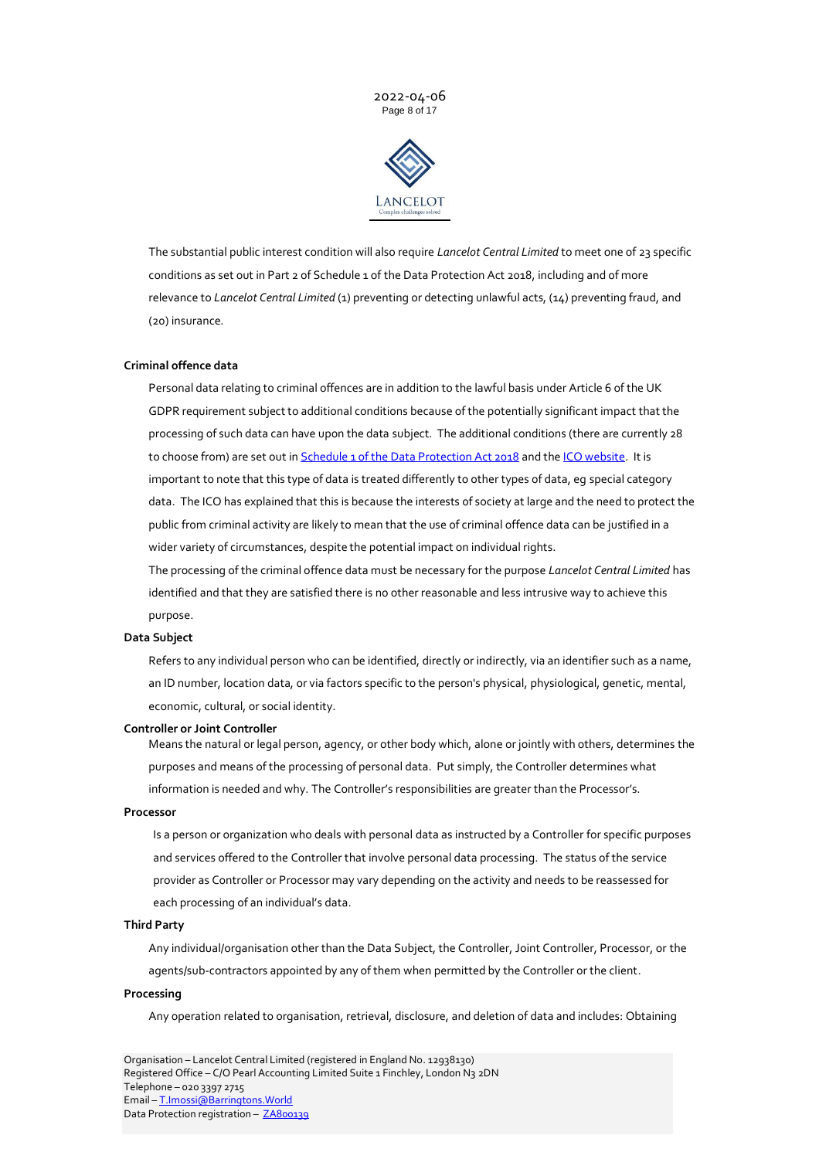



The substantial public interest condition will also require *Lancelot Central Limited* to meet one of 23 specific conditions as set out in Part 2 of Schedule 1 of the Data Protection Act 2018, including and of more relevance to *Lancelot Central Limited* (1) preventing or detecting unlawful acts, (14) preventing fraud, and (20) insurance.

#### **Criminal offence data**

Personal data relating to criminal offences are in addition to the lawful basis under Article 6 of the UK GDPR requirement subject to additional conditions because of the potentially significant impact that the processing of such data can have upon the data subject. The additional conditions (there are currently 28 to choose from) are set out i[n Schedule 1 of the Data Protection Act 2018](https://www.legislation.gov.uk/ukpga/2018/12/schedule/1/enacted) and th[e ICO website.](https://ico.org.uk/for-organisations/guide-to-data-protection/guide-to-the-general-data-protection-regulation-gdpr/criminal-offence-data/what-are-the-conditions-for-processing/) It is important to note that this type of data is treated differently to other types of data, eg special category data. The ICO has explained that this is because the interests of society at large and the need to protect the public from criminal activity are likely to mean that the use of criminal offence data can be justified in a wider variety of circumstances, despite the potential impact on individual rights.

The processing of the criminal offence data must be necessary for the purpose *Lancelot Central Limited* has identified and that they are satisfied there is no other reasonable and less intrusive way to achieve this purpose.

#### **Data Subject**

Refers to any individual person who can be identified, directly or indirectly, via an identifier such as a name, an ID number, location data, or via factors specific to the person's physical, physiological, genetic, mental, economic, cultural, or social identity.

#### **Controller or Joint Controller**

Means the natural or legal person, agency, or other body which, alone or jointly with others, determines the purposes and means of the processing of personal data. Put simply, the Controller determines what information is needed and why. The Controller's responsibilities are greater than the Processor's.

#### **Processor**

Is a person or organization who deals with personal data as instructed by a Controller for specific purposes and services offered to the Controller that involve personal data processing. The status of the service provider as Controller or Processor may vary depending on the activity and needs to be reassessed for each processing of an individual's data.

#### **Third Party**

Any individual/organisation other than the Data Subject, the Controller, Joint Controller, Processor, or the agents/sub-contractors appointed by any of them when permitted by the Controller or the client.

#### **Processing**

Any operation related to organisation, retrieval, disclosure, and deletion of data and includes: Obtaining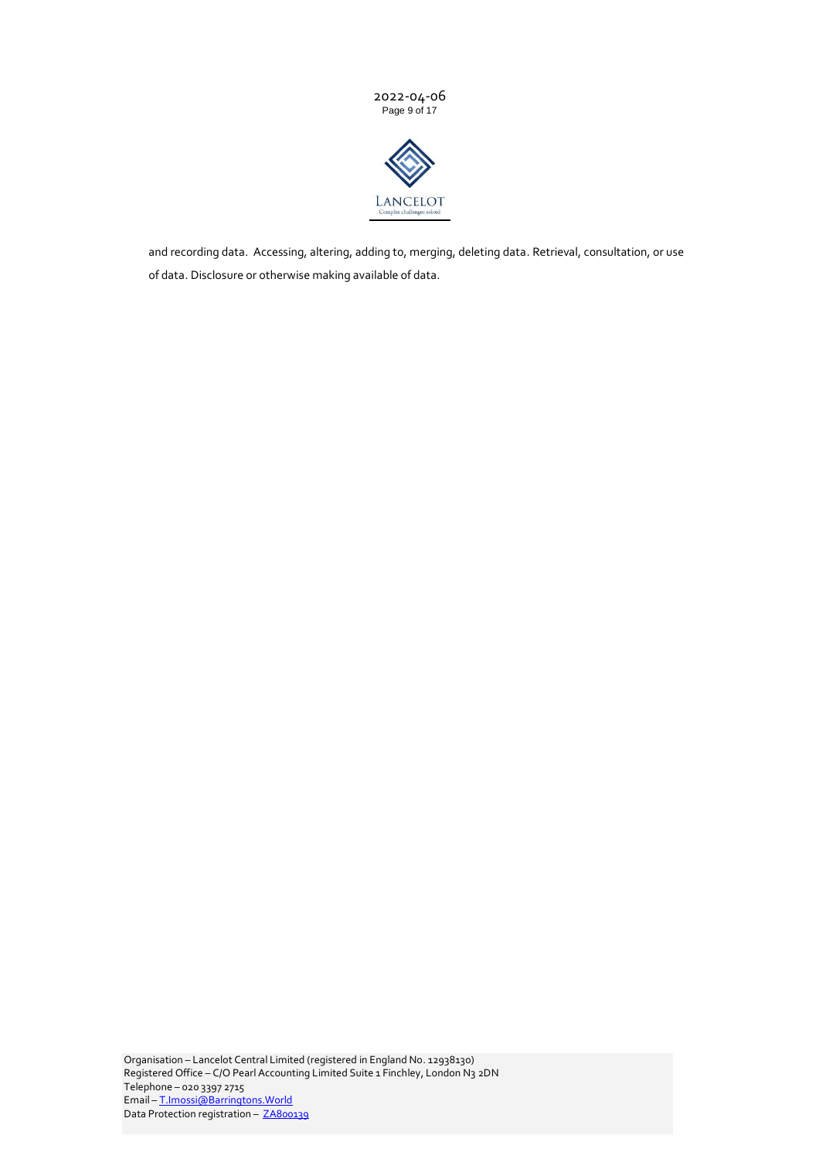



and recording data. Accessing, altering, adding to, merging, deleting data. Retrieval, consultation, or use of data. Disclosure or otherwise making available of data.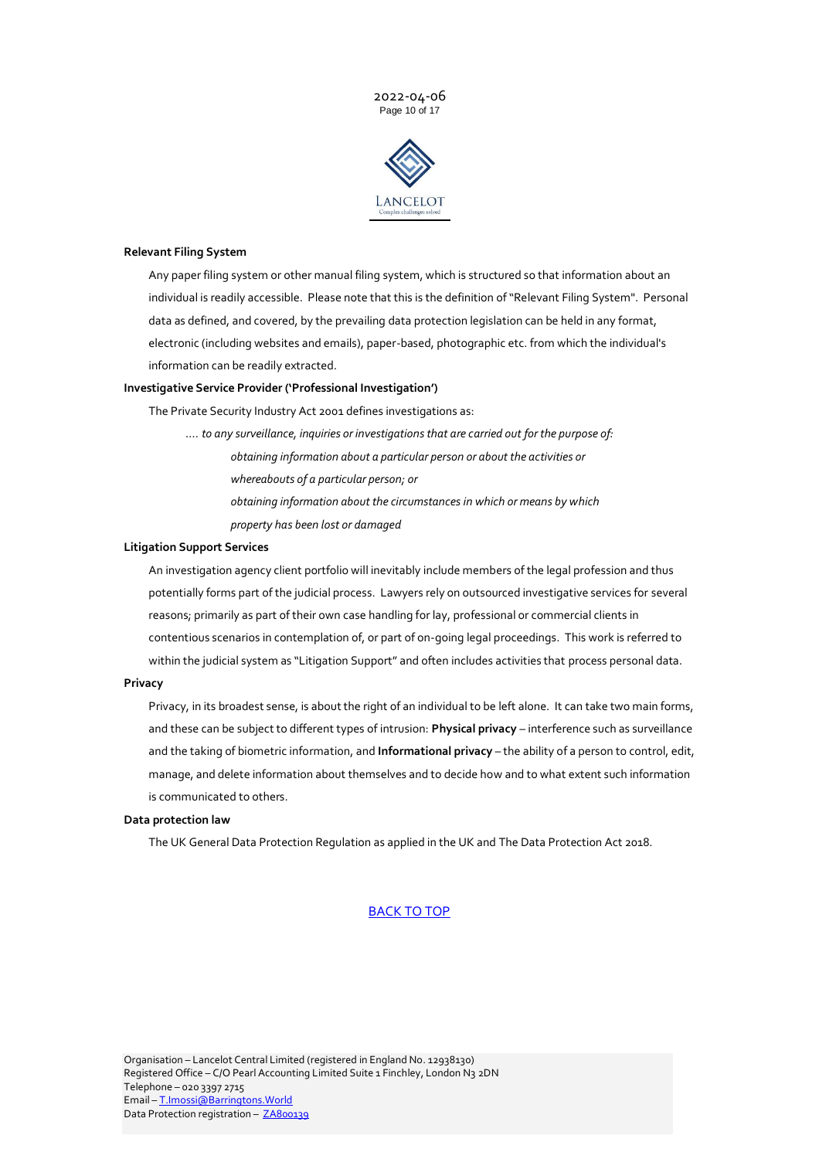2022-04-06 Page 10 of 17



## **Relevant Filing System**

Any paper filing system or other manual filing system, which is structured so that information about an individual is readily accessible. Please note that this is the definition of "Relevant Filing System". Personal data as defined, and covered, by the prevailing data protection legislation can be held in any format, electronic (including websites and emails), paper-based, photographic etc. from which the individual's information can be readily extracted.

## **Investigative Service Provider ('Professional Investigation')**

The Private Security Industry Act 2001 defines investigations as:

- *…. to any surveillance, inquiries or investigations that are carried out for the purpose of: obtaining information about a particular person or about the activities or* 
	- *whereabouts of a particular person; or*
	- *obtaining information about the circumstances in which or means by which*
	- *property has been lost or damaged*

#### **Litigation Support Services**

An investigation agency client portfolio will inevitably include members of the legal profession and thus potentially forms part of the judicial process. Lawyers rely on outsourced investigative services for several reasons; primarily as part of their own case handling for lay, professional or commercial clients in contentious scenarios in contemplation of, or part of on-going legal proceedings. This work is referred to within the judicial system as "Litigation Support" and often includes activities that process personal data.

#### **Privacy**

Privacy, in its broadest sense, is about the right of an individual to be left alone. It can take two main forms, and these can be subject to different types of intrusion: **Physical privacy** – interference such as surveillance and the taking of biometric information, and **Informational privacy** – the ability of a person to control, edit, manage, and delete information about themselves and to decide how and to what extent such information is communicated to others.

## **Data protection law**

The UK General Data Protection Regulation as applied in the UK and The Data Protection Act 2018.

### [BACK TO TOP](#page-0-0)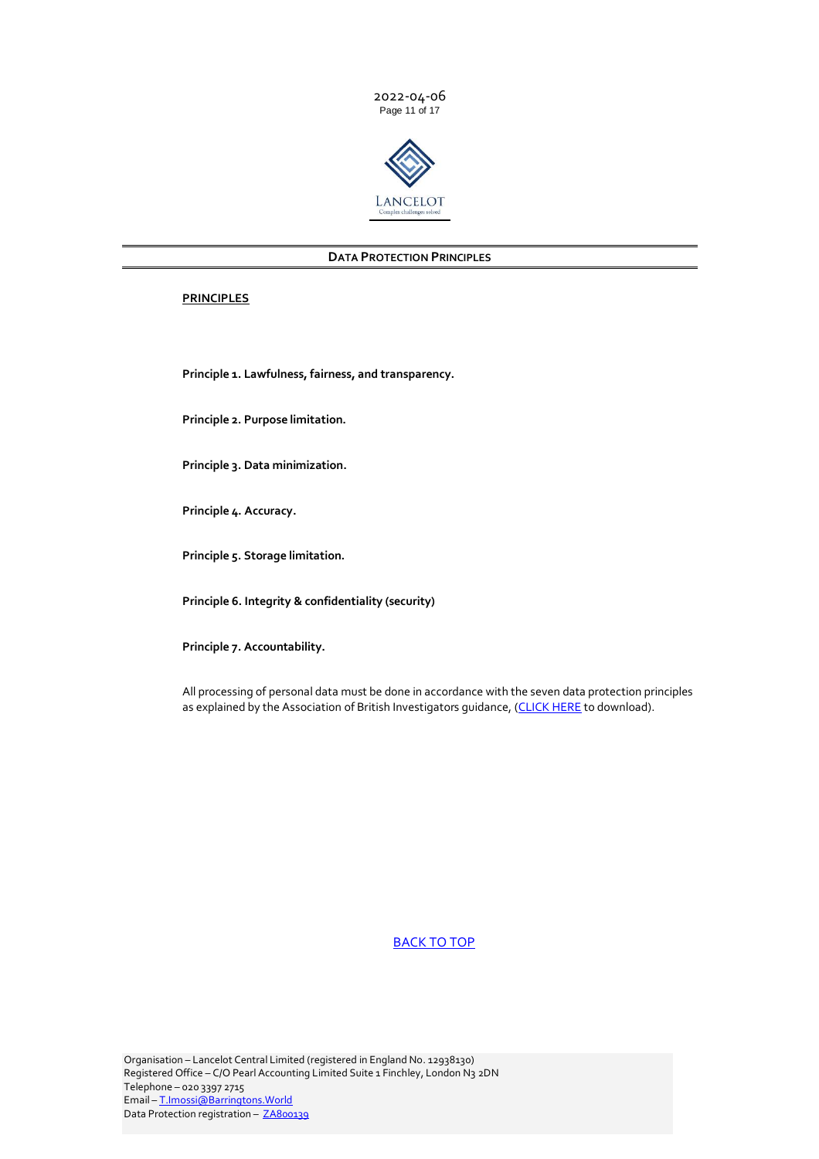



## **DATA PROTECTION PRINCIPLES**

## <span id="page-10-0"></span>**PRINCIPLES**

**Principle 1. Lawfulness, fairness, and transparency.**

**Principle 2. Purpose limitation.**

**Principle 3. Data minimization.**

**Principle 4. Accuracy.**

**Principle 5. Storage limitation.**

**Principle 6. Integrity & confidentiality (security)**

**Principle 7. Accountability.**

All processing of personal data must be done in accordance with the seven data protection principles as explained by the Association of British Investigators guidance, [\(CLICK HERE](https://www.theabi.org.uk/assets/uploads/downloads/Events/GDPR%20Workshops/Workshop%20Word%20docs/Data%20protection%20principles.pdf) to download).

# <span id="page-10-1"></span>[BACK TO TOP](#page-0-0)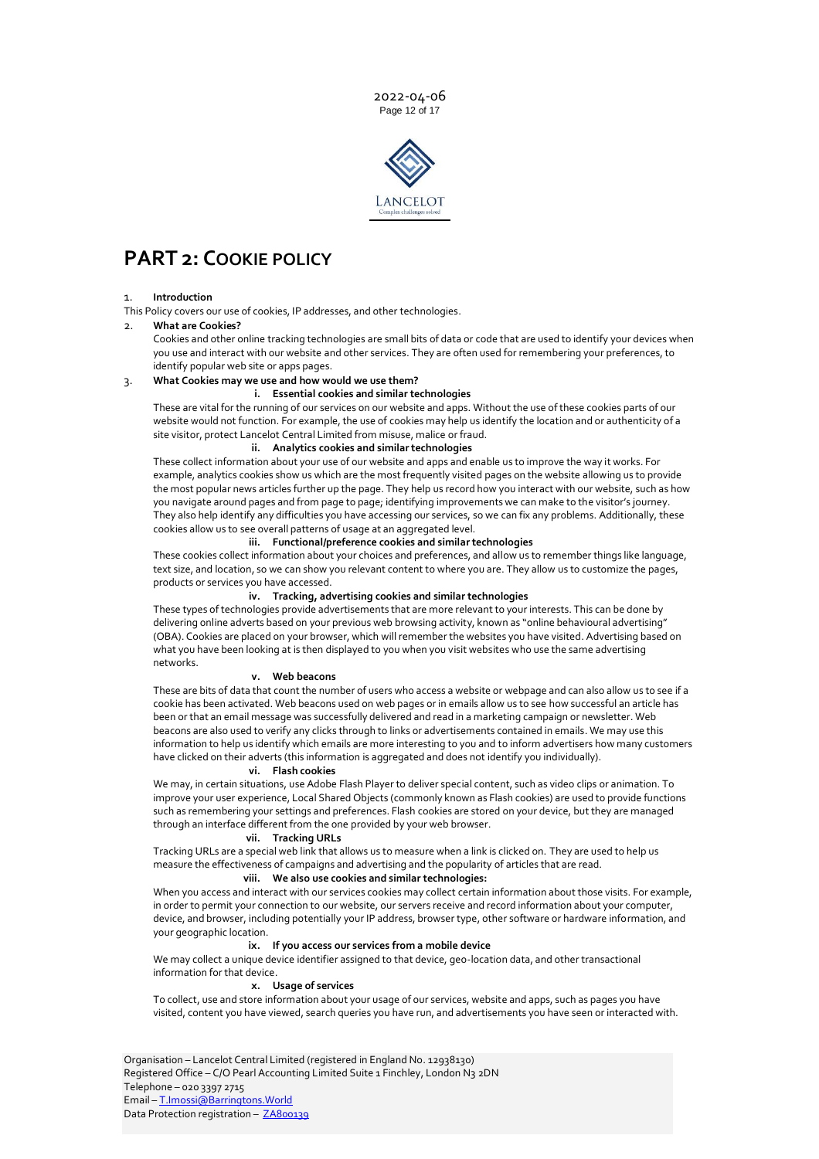2022-04-06 Page 12 of 17



# **PART 2: COOKIE POLICY**

#### 1. **Introduction**

This Policy covers our use of cookies, IP addresses, and other technologies.

#### 2. **What are Cookies?**

Cookies and other online tracking technologies are small bits of data or code that are used to identify your devices when you use and interact with our website and other services. They are often used for remembering your preferences, to identify popular web site or apps pages.

## 3. **What Cookies may we use and how would we use them?**

# **i. Essential cookies and similar technologies**

These are vital for the running of our services on our website and apps. Without the use of these cookies parts of our website would not function. For example, the use of cookies may help us identify the location and or authenticity of a site visitor, protect Lancelot Central Limited from misuse, malice or fraud.

## **ii. Analytics cookies and similar technologies**

These collect information about your use of our website and apps and enable us to improve the way it works. For example, analytics cookies show us which are the most frequently visited pages on the website allowing us to provide the most popular news articles further up the page. They help us record how you interact with our website, such as how you navigate around pages and from page to page; identifying improvements we can make to the visitor's journey. They also help identify any difficulties you have accessing our services, so we can fix any problems. Additionally, these cookies allow us to see overall patterns of usage at an aggregated level.

#### **iii. Functional/preference cookies and similar technologies**

These cookies collect information about your choices and preferences, and allow us to remember things like language, text size, and location, so we can show you relevant content to where you are. They allow us to customize the pages, products or services you have accessed.

## **iv. Tracking, advertising cookies and similar technologies**

These types of technologies provide advertisements that are more relevant to your interests. This can be done by delivering online adverts based on your previous web browsing activity, known as "online behavioural advertising" (OBA). Cookies are placed on your browser, which will remember the websites you have visited. Advertising based on what you have been looking at is then displayed to you when you visit websites who use the same advertising networks.

#### **v. Web beacons**

These are bits of data that count the number of users who access a website or webpage and can also allow us to see if a cookie has been activated. Web beacons used on web pages or in emails allow us to see how successful an article has been or that an email message was successfully delivered and read in a marketing campaign or newsletter. Web beacons are also used to verify any clicks through to links or advertisements contained in emails. We may use this information to help us identify which emails are more interesting to you and to inform advertisers how many customers have clicked on their adverts (this information is aggregated and does not identify you individually).

#### **vi. Flash cookies**

We may, in certain situations, use Adobe Flash Player to deliver special content, such as video clips or animation. To improve your user experience, Local Shared Objects (commonly known as Flash cookies) are used to provide functions such as remembering your settings and preferences. Flash cookies are stored on your device, but they are managed through an interface different from the one provided by your web browser.

#### **vii. Tracking URLs**

Tracking URLs are a special web link that allows us to measure when a link is clicked on. They are used to help us measure the effectiveness of campaigns and advertising and the popularity of articles that are read.

## **viii. We also use cookies and similar technologies:**

When you access and interact with our services cookies may collect certain information about those visits. For example, in order to permit your connection to our website, our servers receive and record information about your computer, device, and browser, including potentially your IP address, browser type, other software or hardware information, and your geographic location.

#### **ix. If you access our services from a mobile device**

We may collect a unique device identifier assigned to that device, geo-location data, and other transactional information for that device.

#### **x. Usage of services**

To collect, use and store information about your usage of our services, website and apps, such as pages you have visited, content you have viewed, search queries you have run, and advertisements you have seen or interacted with.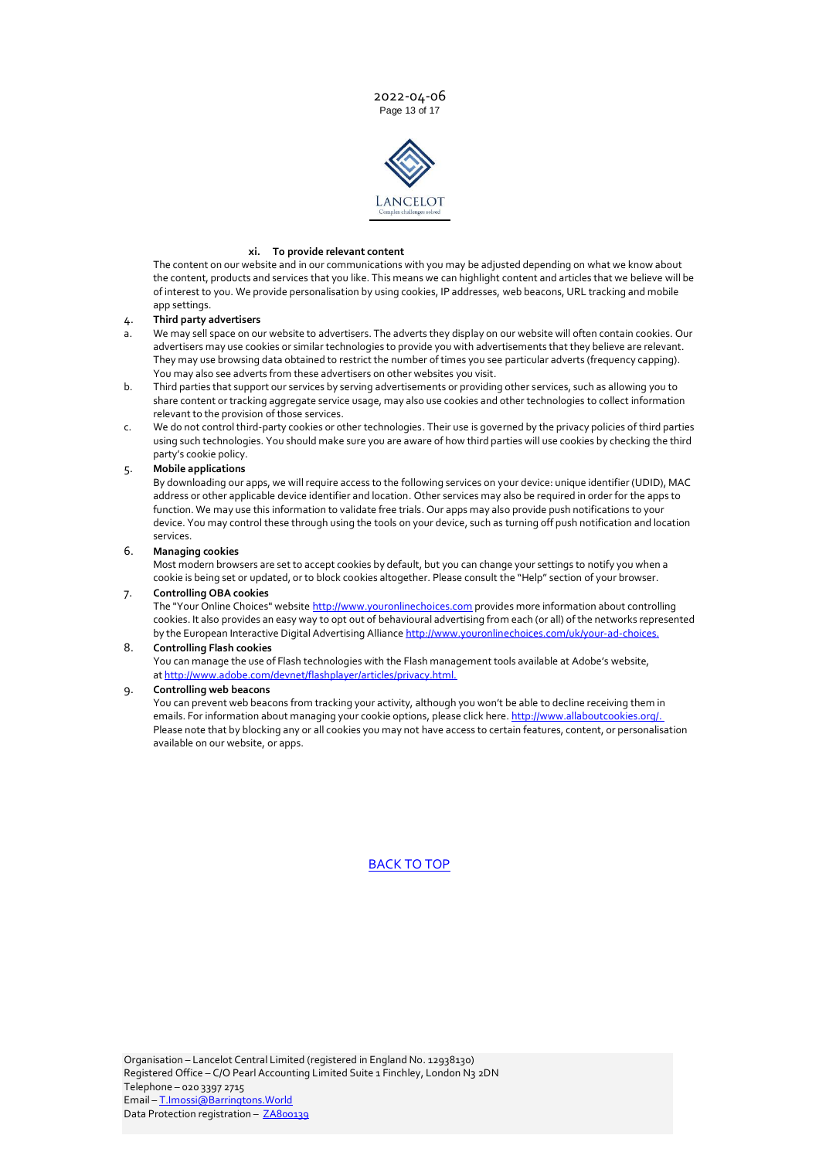2022-04-06 Page 13 of 17



#### **xi. To provide relevant content**

The content on our website and in our communications with you may be adjusted depending on what we know about the content, products and services that you like. This means we can highlight content and articles that we believe will be of interest to you. We provide personalisation by using cookies, IP addresses, web beacons, URL tracking and mobile app settings.

#### 4. **Third party advertisers**

- a. We may sell space on our website to advertisers. The adverts they display on our website will often contain cookies. Our advertisers may use cookies or similar technologies to provide you with advertisements that they believe are relevant. They may use browsing data obtained to restrict the number of times you see particular adverts (frequency capping). You may also see adverts from these advertisers on other websites you visit.
- b. Third parties that support our services by serving advertisements or providing other services, such as allowing you to share content or tracking aggregate service usage, may also use cookies and other technologies to collect information relevant to the provision of those services.
- c. We do not control third-party cookies or other technologies. Their use is governed by the privacy policies of third parties using such technologies. You should make sure you are aware of how third parties will use cookies by checking the third party's cookie policy.

#### 5. **Mobile applications**

By downloading our apps, we will require access to the following services on your device: unique identifier (UDID), MAC address or other applicable device identifier and location. Other services may also be required in order for the apps to function. We may use this information to validate free trials. Our apps may also provide push notifications to your device. You may control these through using the tools on your device, such as turning off push notification and location services.

#### 6. **Managing cookies**

Most modern browsers are set to accept cookies by default, but you can change your settings to notify you when a cookie is being set or updated, or to block cookies altogether. Please consult the "Help" section of your browser.

## 7. **Controlling OBA cookies**

The "Your Online Choices" website [http://www.youronlinechoices.com](http://www.youronlinechoices.com/) provides more information about controlling cookies. It also provides an easy way to opt out of behavioural advertising from each (or all) of the networks represented by the European Interactive Digital Advertising Alliance [http://www.youronlinechoices.com/uk/your-ad-choices.](http://www.youronlinechoices.com/uk/your-ad-choices)

## 8. **Controlling Flash cookies**

You can manage the use of Flash technologies with the Flash management tools available at Adobe's website, at [http://www.adobe.com/devnet/flashplayer/articles/privacy.html.](http://www.adobe.com/devnet/flashplayer/articles/privacy.html)

## 9. **Controlling web beacons**

You can prevent web beacons from tracking your activity, although you won't be able to decline receiving them in emails. For information about managing your cookie options, please click here. [http://www.allaboutcookies.org/.](http://www.allaboutcookies.org/) Please note that by blocking any or all cookies you may not have access to certain features, content, or personalisation available on our website, or apps.

# [BACK TO TOP](#page-0-0)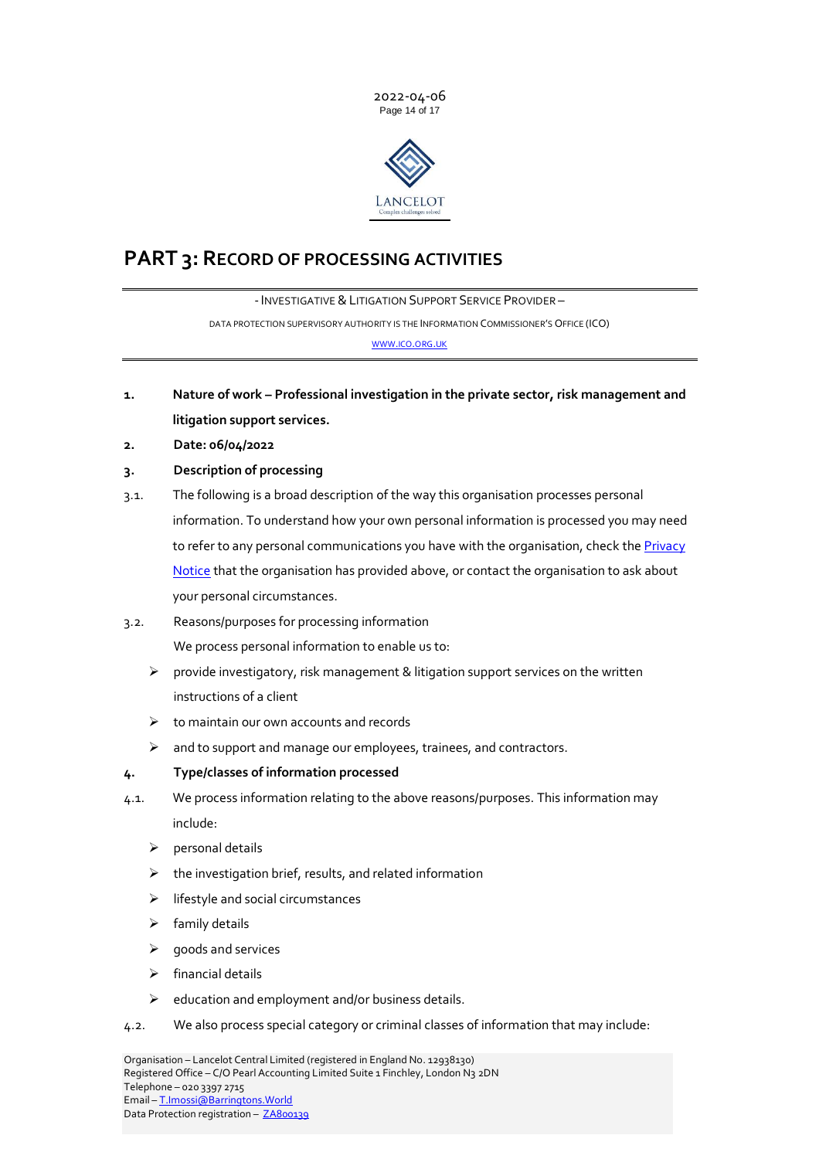



# <span id="page-13-0"></span>**PART 3: RECORD OF PROCESSING ACTIVITIES**

- INVESTIGATIVE & LITIGATION SUPPORT SERVICE PROVIDER -DATA PROTECTION SUPERVISORY AUTHORITY IS THE INFORMATION COMMISSIONER'S OFFICE (ICO) [WWW](http://www.ico.org.uk/).ICO.ORG.UK

- **1. Nature of work – Professional investigation in the private sector, risk management and litigation support services.**
- **2. Date: 06/04/2022**
- **3. Description of processing**
- 3.1. The following is a broad description of the way this organisation processes personal information. To understand how your own personal information is processed you may need to refer to any personal communications you have with the organisation, check the Privacy [Notice](#page-0-0) that the organisation has provided above, or contact the organisation to ask about your personal circumstances.
- 3.2. Reasons/purposes for processing information We process personal information to enable us to:
	- $\triangleright$  provide investigatory, risk management & litigation support services on the written instructions of a client
	- $\triangleright$  to maintain our own accounts and records
	- ➢ and to support and manage our employees, trainees, and contractors.
- **4. Type/classes of information processed**
- 4.1. We process information relating to the above reasons/purposes. This information may include:
	- ➢ personal details
	- $\triangleright$  the investigation brief, results, and related information
	- ➢ lifestyle and social circumstances
	- $\triangleright$  family details
	- $\triangleright$  goods and services
	- ➢ financial details
	- ➢ education and employment and/or business details.
- 4.2. We also process special category or criminal classes of information that may include: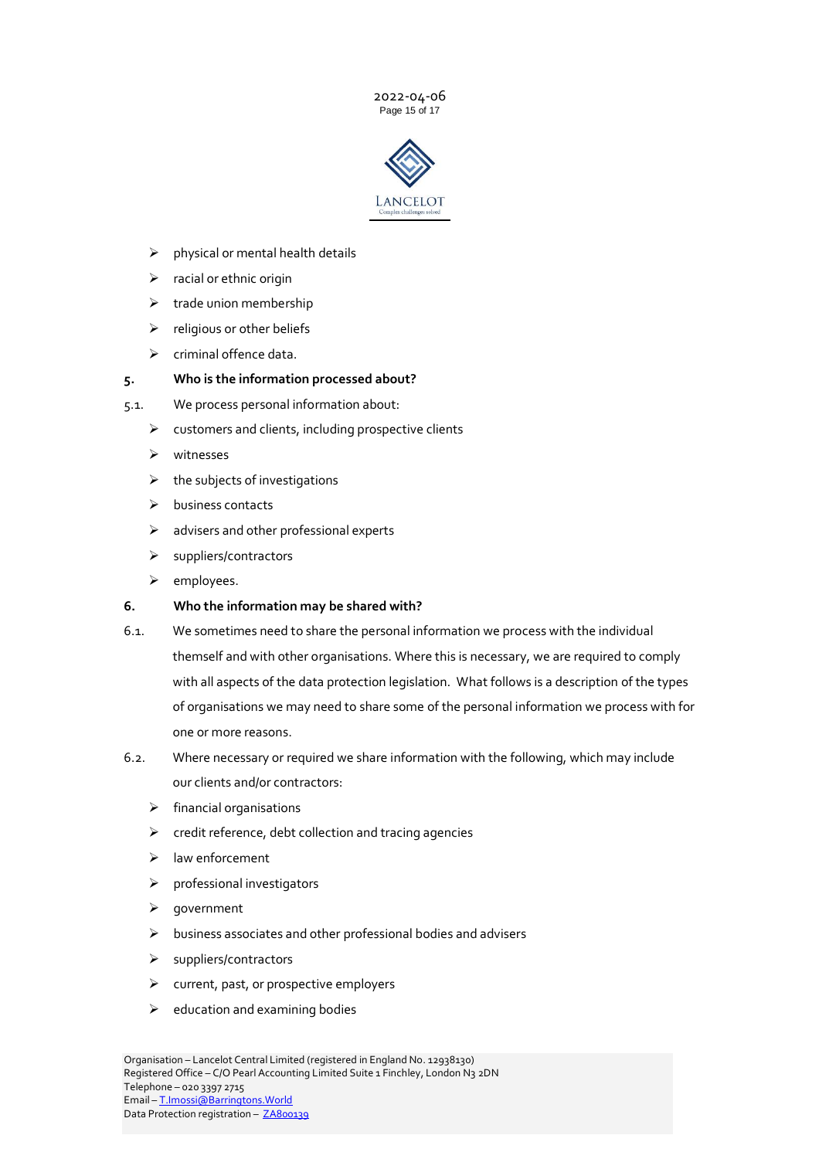2022-04-06 Page 15 of 17



- $\triangleright$  physical or mental health details
- $\triangleright$  racial or ethnic origin
- $\triangleright$  trade union membership
- $\triangleright$  religious or other beliefs
- ➢ criminal offence data.

# **5. Who is the information processed about?**

- 5.1. We process personal information about:
	- $\triangleright$  customers and clients, including prospective clients
	- ➢ witnesses
	- $\triangleright$  the subjects of investigations
	- ➢ business contacts
	- $\triangleright$  advisers and other professional experts
	- ➢ suppliers/contractors
	- ➢ employees.

# **6. Who the information may be shared with?**

- 6.1. We sometimes need to share the personal information we process with the individual themself and with other organisations. Where this is necessary, we are required to comply with all aspects of the data protection legislation. What follows is a description of the types of organisations we may need to share some of the personal information we process with for one or more reasons.
- 6.2. Where necessary or required we share information with the following, which may include our clients and/or contractors:
	- ➢ financial organisations
	- $\triangleright$  credit reference, debt collection and tracing agencies
	- ➢ law enforcement
	- ➢ professional investigators
	- ➢ government
	- ➢ business associates and other professional bodies and advisers
	- ➢ suppliers/contractors
	- ➢ current, past, or prospective employers
	- $\triangleright$  education and examining bodies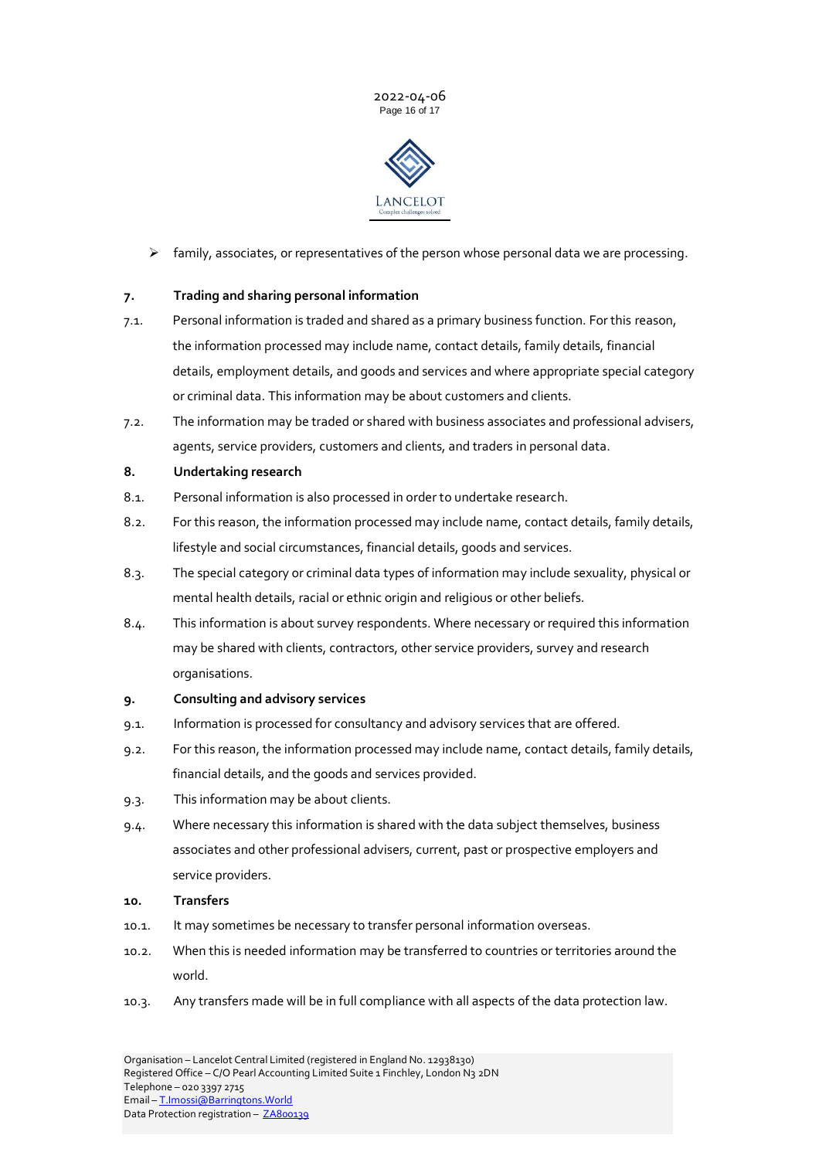



 $\triangleright$  family, associates, or representatives of the person whose personal data we are processing.

# **7. Trading and sharing personal information**

- 7.1. Personal information is traded and shared as a primary business function. For this reason, the information processed may include name, contact details, family details, financial details, employment details, and goods and services and where appropriate special category or criminal data. This information may be about customers and clients.
- 7.2. The information may be traded or shared with business associates and professional advisers, agents, service providers, customers and clients, and traders in personal data.

## **8. Undertaking research**

- 8.1. Personal information is also processed in order to undertake research.
- 8.2. For this reason, the information processed may include name, contact details, family details, lifestyle and social circumstances, financial details, goods and services.
- 8.3. The special category or criminal data types of information may include sexuality, physical or mental health details, racial or ethnic origin and religious or other beliefs.
- 8.4. This information is about survey respondents. Where necessary or required this information may be shared with clients, contractors, other service providers, survey and research organisations.

## **9. Consulting and advisory services**

- 9.1. Information is processed for consultancy and advisory services that are offered.
- 9.2. For this reason, the information processed may include name, contact details, family details, financial details, and the goods and services provided.
- 9.3. This information may be about clients.
- 9.4. Where necessary this information is shared with the data subject themselves, business associates and other professional advisers, current, past or prospective employers and service providers.
- **10. Transfers**
- 10.1. It may sometimes be necessary to transfer personal information overseas.
- 10.2. When this is needed information may be transferred to countries or territories around the world.
- 10.3. Any transfers made will be in full compliance with all aspects of the data protection law.